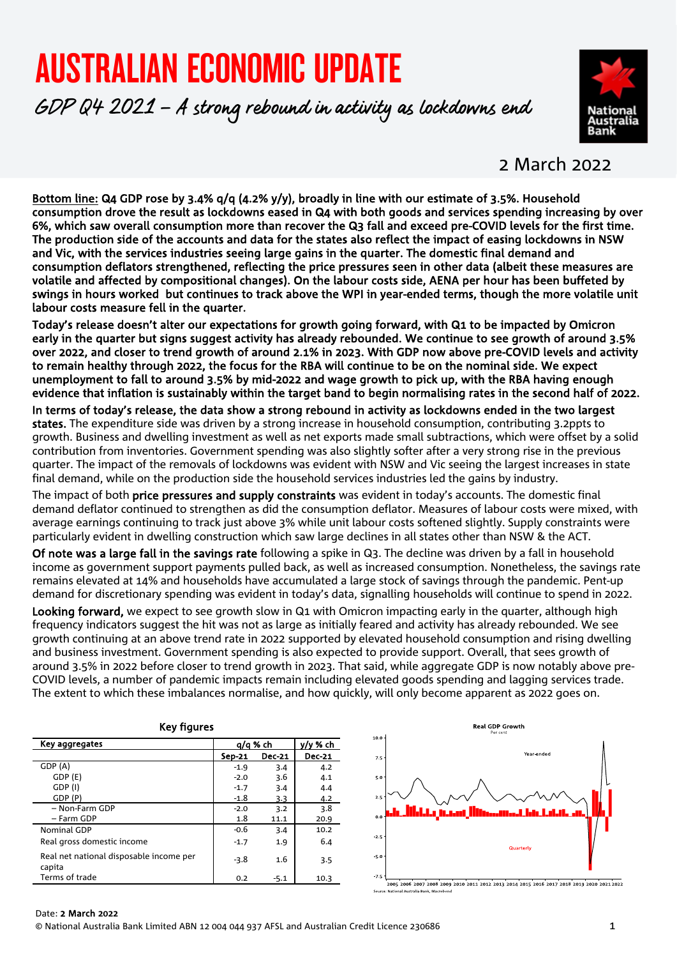# AUSTRALIAN ECONOMIC UPDATE

GDP Q4 2021 – A strong rebound in activity as lockdowns end



### 2 March 2022

Bottom line: Q4 GDP rose by 3.4% q/q (4.2% y/y), broadly in line with our estimate of 3.5%. Household consumption drove the result as lockdowns eased in Q4 with both goods and services spending increasing by over 6%, which saw overall consumption more than recover the Q3 fall and exceed pre-COVID levels for the first time. The production side of the accounts and data for the states also reflect the impact of easing lockdowns in NSW and Vic, with the services industries seeing large gains in the quarter. The domestic final demand and consumption deflators strengthened, reflecting the price pressures seen in other data (albeit these measures are volatile and affected by compositional changes). On the labour costs side, AENA per hour has been buffeted by swings in hours worked but continues to track above the WPI in year-ended terms, though the more volatile unit labour costs measure fell in the quarter.

Today's release doesn't alter our expectations for growth going forward, with Q1 to be impacted by Omicron early in the quarter but signs suggest activity has already rebounded. We continue to see growth of around 3.5% over 2022, and closer to trend growth of around 2.1% in 2023. With GDP now above pre-COVID levels and activity to remain healthy through 2022, the focus for the RBA will continue to be on the nominal side. We expect unemployment to fall to around 3.5% by mid-2022 and wage growth to pick up, with the RBA having enough evidence that inflation is sustainably within the target band to begin normalising rates in the second half of 2022.

In terms of today's release, the data show a strong rebound in activity as lockdowns ended in the two largest states. The expenditure side was driven by a strong increase in household consumption, contributing 3.2ppts to growth. Business and dwelling investment as well as net exports made small subtractions, which were offset by a solid contribution from inventories. Government spending was also slightly softer after a very strong rise in the previous quarter. The impact of the removals of lockdowns was evident with NSW and Vic seeing the largest increases in state final demand, while on the production side the household services industries led the gains by industry.

The impact of both **price pressures and supply constraints** was evident in today's accounts. The domestic final demand deflator continued to strengthen as did the consumption deflator. Measures of labour costs were mixed, with average earnings continuing to track just above 3% while unit labour costs softened slightly. Supply constraints were particularly evident in dwelling construction which saw large declines in all states other than NSW & the ACT.

Of note was a large fall in the savings rate following a spike in Q3. The decline was driven by a fall in household income as government support payments pulled back, as well as increased consumption. Nonetheless, the savings rate remains elevated at 14% and households have accumulated a large stock of savings through the pandemic. Pent-up demand for discretionary spending was evident in today's data, signalling households will continue to spend in 2022.

Looking forward, we expect to see growth slow in Q1 with Omicron impacting early in the quarter, although high frequency indicators suggest the hit was not as large as initially feared and activity has already rebounded. We see growth continuing at an above trend rate in 2022 supported by elevated household consumption and rising dwelling and business investment. Government spending is also expected to provide support. Overall, that sees growth of around 3.5% in 2022 before closer to trend growth in 2023. That said, while aggregate GDP is now notably above pre-COVID levels, a number of pandemic impacts remain including elevated goods spending and lagging services trade. The extent to which these imbalances normalise, and how quickly, will only become apparent as 2022 goes on.

| <b>Key figures</b>                                |          |               |               |  |  |
|---------------------------------------------------|----------|---------------|---------------|--|--|
| Key aggregates                                    | q/q % ch | y/y % ch      |               |  |  |
|                                                   | Sep-21   | <b>Dec-21</b> | <b>Dec-21</b> |  |  |
| GDP (A)                                           | $-1.9$   | 3.4           | 4.2           |  |  |
| GDP (E)                                           | $-2.0$   | 3.6           | 4.1           |  |  |
| GDP (I)                                           | $-1.7$   | 3.4           | 4.4           |  |  |
| GDP (P)                                           | $-1.8$   | 3.3           | 4.2           |  |  |
| - Non-Farm GDP                                    | $-2.0$   | 3.2           | 3.8           |  |  |
| – Farm GDP                                        | 1.8      | 11.1          | 20.9          |  |  |
| Nominal GDP                                       | $-0.6$   | 3.4           | 10.2          |  |  |
| Real gross domestic income                        | $-1.7$   | 1.9           | 6.4           |  |  |
| Real net national disposable income per<br>capita | $-3.8$   | 1.6           | 3.5           |  |  |
| Terms of trade                                    | 0.2      | $-5.1$        | 10.3          |  |  |



#### Date: 2 March **2022**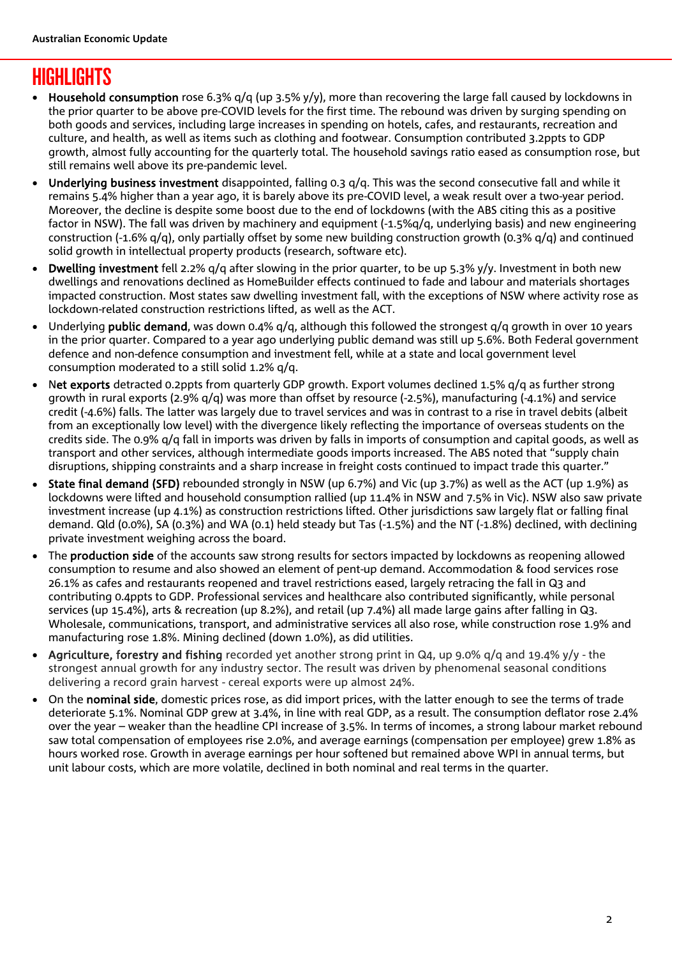# **HIGHLIGHTS**

- Household consumption rose 6.3% q/q (up 3.5% y/y), more than recovering the large fall caused by lockdowns in the prior quarter to be above pre-COVID levels for the first time. The rebound was driven by surging spending on both goods and services, including large increases in spending on hotels, cafes, and restaurants, recreation and culture, and health, as well as items such as clothing and footwear. Consumption contributed 3.2ppts to GDP growth, almost fully accounting for the quarterly total. The household savings ratio eased as consumption rose, but still remains well above its pre-pandemic level.
- Underlying business investment disappointed, falling 0.3 q/q. This was the second consecutive fall and while it remains 5.4% higher than a year ago, it is barely above its pre-COVID level, a weak result over a two-year period. Moreover, the decline is despite some boost due to the end of lockdowns (with the ABS citing this as a positive factor in NSW). The fall was driven by machinery and equipment (-1.5%q/q, underlying basis) and new engineering construction (-1.6% q/q), only partially offset by some new building construction growth (0.3% q/q) and continued solid growth in intellectual property products (research, software etc).
- Dwelling investment fell 2.2% q/q after slowing in the prior quarter, to be up 5.3% y/y. Investment in both new dwellings and renovations declined as HomeBuilder effects continued to fade and labour and materials shortages impacted construction. Most states saw dwelling investment fall, with the exceptions of NSW where activity rose as lockdown-related construction restrictions lifted, as well as the ACT.
- Underlying **public demand**, was down 0.4%  $q/q$ , although this followed the strongest  $q/q$  growth in over 10 years in the prior quarter. Compared to a year ago underlying public demand was still up 5.6%. Both Federal government defence and non-defence consumption and investment fell, while at a state and local government level consumption moderated to a still solid 1.2% q/q.
- Net exports detracted 0.2ppts from quarterly GDP growth. Export volumes declined 1.5% q/q as further strong growth in rural exports (2.9% q/q) was more than offset by resource (-2.5%), manufacturing (-4.1%) and service credit (-4.6%) falls. The latter was largely due to travel services and was in contrast to a rise in travel debits (albeit from an exceptionally low level) with the divergence likely reflecting the importance of overseas students on the credits side. The 0.9% q/q fall in imports was driven by falls in imports of consumption and capital goods, as well as transport and other services, although intermediate goods imports increased. The ABS noted that "supply chain disruptions, shipping constraints and a sharp increase in freight costs continued to impact trade this quarter."
- State final demand (SFD) rebounded strongly in NSW (up 6.7%) and Vic (up 3.7%) as well as the ACT (up 1.9%) as lockdowns were lifted and household consumption rallied (up 11.4% in NSW and 7.5% in Vic). NSW also saw private investment increase (up 4.1%) as construction restrictions lifted. Other jurisdictions saw largely flat or falling final demand. Qld (0.0%), SA (0.3%) and WA (0.1) held steady but Tas (-1.5%) and the NT (-1.8%) declined, with declining private investment weighing across the board.
- The **production side** of the accounts saw strong results for sectors impacted by lockdowns as reopening allowed consumption to resume and also showed an element of pent-up demand. Accommodation & food services rose 26.1% as cafes and restaurants reopened and travel restrictions eased, largely retracing the fall in Q3 and contributing 0.4ppts to GDP. Professional services and healthcare also contributed significantly, while personal services (up 15.4%), arts & recreation (up 8.2%), and retail (up 7.4%) all made large gains after falling in Q3. Wholesale, communications, transport, and administrative services all also rose, while construction rose 1.9% and manufacturing rose 1.8%. Mining declined (down 1.0%), as did utilities.
- Agriculture, forestry and fishing recorded yet another strong print in Q4, up 9.0% q/q and 19.4% y/y the strongest annual growth for any industry sector. The result was driven by phenomenal seasonal conditions delivering a record grain harvest - cereal exports were up almost 24%.
- On the nominal side, domestic prices rose, as did import prices, with the latter enough to see the terms of trade deteriorate 5.1%. Nominal GDP grew at 3.4%, in line with real GDP, as a result. The consumption deflator rose 2.4% over the year – weaker than the headline CPI increase of 3.5%. In terms of incomes, a strong labour market rebound saw total compensation of employees rise 2.0%, and average earnings (compensation per employee) grew 1.8% as hours worked rose. Growth in average earnings per hour softened but remained above WPI in annual terms, but unit labour costs, which are more volatile, declined in both nominal and real terms in the quarter.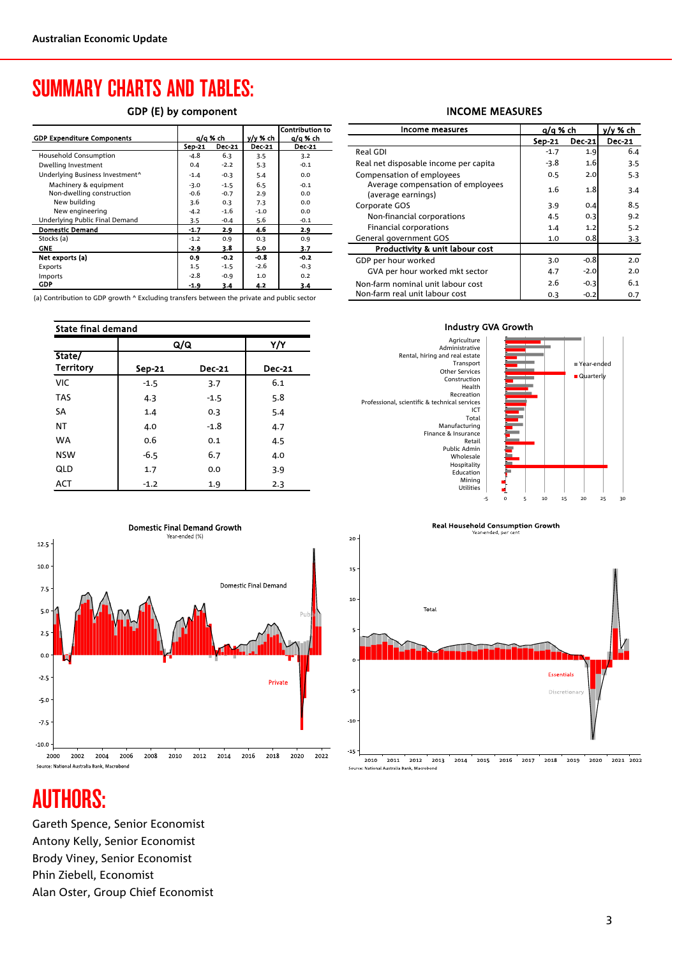# SUMMARY CHARTS AND TABLES:

### GDP (E) by component

|                                             |          |               |               | <b>Contribution to</b> |
|---------------------------------------------|----------|---------------|---------------|------------------------|
| <b>GDP Expenditure Components</b>           | q/q % ch |               | v/v % ch      | a/a % ch               |
|                                             | Sep-21   | <b>Dec-21</b> | <b>Dec-21</b> | <b>Dec-21</b>          |
| Household Consumption                       | -4.8     | 6.3           | 3.5           | 3.2                    |
| Dwelling Investment                         | 0.4      | $-2.2$        | 5.3           | $-0.1$                 |
| Underlying Business Investment <sup>^</sup> | $-1.4$   | $-0.3$        | 5.4           | 0.0                    |
| Machinery & equipment                       | $-3.0$   | $-1.5$        | 6.5           | $-0.1$                 |
| Non-dwelling construction                   | $-0.6$   | $-0.7$        | 2.9           | 0.0                    |
| New building                                | 3.6      | 0.3           | 7.3           | 0.0                    |
| New engineering                             | $-4.2$   | $-1.6$        | $-1.0$        | 0.0                    |
| Underlying Public Final Demand              | 3.5      | $-0.4$        | 5.6           | $-0.1$                 |
| <b>Domestic Demand</b>                      | $-1.7$   | 2.9           | 4.6           | 2.9                    |
| Stocks (a)                                  | $-1.2$   | 0.9           | 0.3           | 0.9                    |
| <b>GNE</b>                                  | $-2.9$   | 3.8           | 5.0           | 3.7                    |
| Net exports (a)                             | 0.9      | $-0.2$        | $-0.8$        | $-0.2$                 |
| Exports                                     | 1.5      | $-1.5$        | $-2.6$        | $-0.3$                 |
| Imports                                     | $-2.8$   | $-0.9$        | 1.0           | 0.2                    |
| GDP                                         | $-1.9$   | 3.4           | 4.2           | 3.4                    |

(a) Contribution to GDP growth ^ Excluding transfers between the private and public sector

| <b>State final demand</b>  |        |               |               |  |  |  |
|----------------------------|--------|---------------|---------------|--|--|--|
|                            | Q/Q    |               | Y/Y           |  |  |  |
| State/<br><b>Territory</b> | Sep-21 | <b>Dec-21</b> | <b>Dec-21</b> |  |  |  |
| <b>VIC</b>                 | $-1.5$ | 3.7           | 6.1           |  |  |  |
| <b>TAS</b>                 | 4.3    | $-1.5$        | 5.8           |  |  |  |
| SA                         | 1.4    | 0.3           | 5.4           |  |  |  |
| ΝT                         | 4.0    | $-1.8$        | 4.7           |  |  |  |
| <b>WA</b>                  | 0.6    | 0.1           | 4.5           |  |  |  |
| <b>NSW</b>                 | $-6.5$ | 6.7           | 4.0           |  |  |  |
| QLD                        | 1.7    | 0.0           | 3.9           |  |  |  |
| <b>ACT</b>                 | $-1.2$ | 1.9           | 2.3           |  |  |  |



#### INCOME MEASURES

| Income measures                                         | a/a % ch |               | y/y % ch      |
|---------------------------------------------------------|----------|---------------|---------------|
|                                                         | Sep-21   | <b>Dec-21</b> | <b>Dec-21</b> |
| Real GDI                                                | $-1.7$   | 1.9           | 6.4           |
| Real net disposable income per capita                   | $-3.8$   | 1.6           | 3.5           |
| Compensation of employees                               | 0.5      | 2.0           | 5.3           |
| Average compensation of employees<br>(average earnings) | 1.6      | 1.8           | 3.4           |
| Corporate GOS                                           | 3.9      | 0.4           | 8.5           |
| Non-financial corporations                              | 4.5      | 0.3           | 9.2           |
| Financial corporations                                  | 1.4      | 1.2           | 5.2           |
| General government GOS                                  | 1.0      | 0.8           | 3.3           |
| Productivity & unit labour cost                         |          |               |               |
| GDP per hour worked                                     | 3.0      | $-0.8$        | 2.0           |
| GVA per hour worked mkt sector                          | 4.7      | $-2.0$        | 2.0           |
| Non-farm nominal unit labour cost                       | 2.6      | $-0.3$        | 6.1           |
| Non-farm real unit labour cost                          | 0.3      | $-0.2$        | 0.7           |
|                                                         |          |               |               |







# AUTHORS:

Gareth Spence, Senior Economist Antony Kelly, Senior Economist Brody Viney, Senior Economist Phin Ziebell, Economist Alan Oster, Group Chief Economist